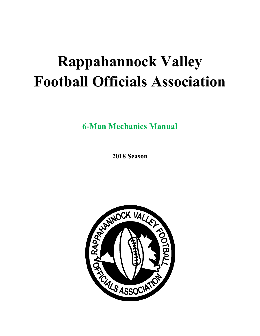# **Rappahannock Valley Football Officials Association**

**6-Man Mechanics Manual** 

**2018 Season** 

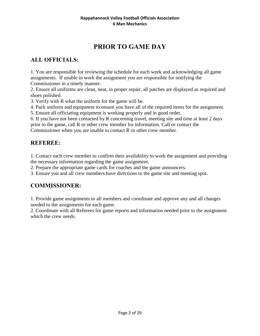# **PRIOR TO GAME DAY**

## **ALL OFFICIALS:**

1. You are responsible for reviewing the schedule for each week and acknowledging all game assignments. If unable to work the assignment you are responsible for notifying the Commissioner in a timely manner.

2. Ensure all uniforms are clean, neat, in proper repair, all patches are displayed as required and shoes polished.

3. Verify with R what the uniform for the game will be.

4. Pack uniform and equipment to ensure you have all of the required items for the assignment.

5. Ensure all officiating equipment is working properly and in good order.

6. If you have not been contacted by R concerning travel, meeting site and time at least 2 days prior to the game, call R or other crew member for information. Call or contact the

Commissioner when you are unable to contact R or other crew member.

#### **REFEREE:**

1. Contact each crew member to confirm their availability to work the assignment and providing the necessary information regarding the game assignment.

2. Prepare the appropriate game cards for coaches and the game announcers.

3. Ensure you and all crew members have directions to the game site and meeting spot.

#### **COMMISSIONER:**

1. Provide game assignments to all members and coordinate and approve any and all changes needed to the assignments for each game.

2. Coordinate with all Referees for game reports and information needed prior to the assignment which the crew needs.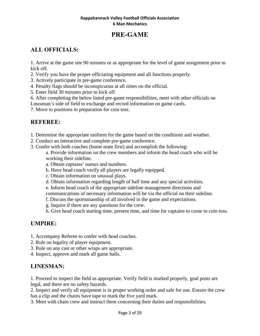# **PRE-GAME**

## **ALL OFFICIALS:**

1. Arrive at the game site 90 minutes or as appropriate for the level of game assignment prior to kick off.

- 2. Verify you have the proper officiating equipment and all functions properly.
- 3. Actively participate in pre-game conference.
- 4. Penalty flags should be inconspicuous at all times on the official.
- 5. Enter field 30 minutes prior to kick off.
- 6. After completing the below listed pre-game responsibilities, meet with other officials on

Linesman's side of field to exchange and record information on game cards.

7. Move to positions in preparation for coin toss.

## **REFEREE:**

- 1. Determine the appropriate uniform for the game based on the conditions and weather.
- 2. Conduct an interactive and complete pre-game conference.
- 3. Confer with both coaches (home team first) and accomplish the following:

a. Provide information on the crew members and inform the head coach who will be working their sideline.

- a. Obtain captains' names and numbers.
- b. Have head coach verify all players are legally equipped.
- c. Obtain information on unusual plays.
- d. Obtain information regarding length of half time and any special activities.

e. Inform head coach of the appropriate sideline management directions and

- communications of necessary information will be via the official on their sideline.
- f. Discuss the sportsmanship of all involved in the game and expectations.
- g. Inquire if there are any questions for the crew.
- h. Give head coach starting time, present time, and time for captains to come to coin toss.

## **UMPIRE:**

- 1. Accompany Referee to confer with head coaches.
- 2. Rule on legality of player equipment.
- 3. Rule on any cast or other wraps are appropriate.
- 4. Inspect, approve and mark all game balls.

## **LINESMAN:**

1. Proceed to inspect the field as appropriate. Verify field is marked properly, goal posts are legal, and there are no safety hazards.

2. Inspect and verify all equipment is in proper working order and safe for use. Ensure the crew has a clip and the chains have tape to mark the five yard mark.

3. Meet with chain crew and instruct them concerning their duties and responsibilities.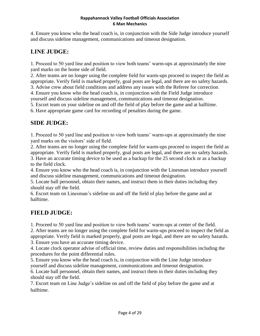4. Ensure you know who the head coach is, in conjunction with the Side Judge introduce yourself and discuss sideline management, communications and timeout designation.

## **LINE JUDGE:**

1. Proceed to 50 yard line and position to view both teams' warm-ups at approximately the nine yard marks on the home side of field.

2. After teams are no longer using the complete field for warm-ups proceed to inspect the field as appropriate. Verify field is marked properly, goal posts are legal, and there are no safety hazards.

3. Advise crew about field conditions and address any issues with the Referee for correction.

4. Ensure you know who the head coach is, in conjunction with the Field Judge introduce yourself and discuss sideline management, communications and timeout designation.

5. Escort team on your sideline on and off the field of play before the game and at halftime.

6. Have appropriate game card for recording of penalties during the game.

## **SIDE JUDGE:**

1. Proceed to 50 yard line and position to view both teams' warm-ups at approximately the nine yard marks on the visitors' side of field.

2. After teams are no longer using the complete field for warm-ups proceed to inspect the field as appropriate. Verify field is marked properly, goal posts are legal, and there are no safety hazards. 3. Have an accurate timing device to be used as a backup for the 25 second clock or as a backup to the field clock.

4. Ensure you know who the head coach is, in conjunction with the Linesman introduce yourself and discuss sideline management, communications and timeout designation.

5. Locate ball personnel, obtain their names, and instruct them in their duties including they should stay off the field.

6. Escort team on Linesman's sideline on and off the field of play before the game and at halftime.

# **FIELD JUDGE:**

1. Proceed to 50 yard line and position to view both teams' warm-ups at center of the field.

2. After teams are no longer using the complete field for warm-ups proceed to inspect the field as appropriate. Verify field is marked properly, goal posts are legal, and there are no safety hazards.

3. Ensure you have an accurate timing device.

4. Locate clock operator advise of official time, review duties and responsibilities including the procedures for the point differential rules.

5. Ensure you know who the head coach is, in conjunction with the Line Judge introduce yourself and discuss sideline management, communications and timeout designation.

6. Locate ball personnel, obtain their names, and instruct them in their duties including they should stay off the field.

7. Escort team on Line Judge's sideline on and off the field of play before the game and at halftime.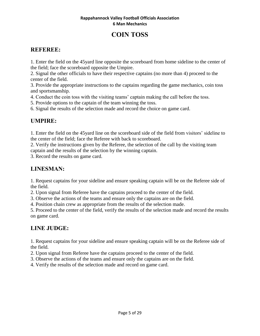# **COIN TOSS**

## **REFEREE:**

1. Enter the field on the 45yard line opposite the scoreboard from home sideline to the center of the field; face the scoreboard opposite the Umpire.

2. Signal the other officials to have their respective captains (no more than 4) proceed to the center of the field.

3. Provide the appropriate instructions to the captains regarding the game mechanics, coin toss and sportsmanship.

4. Conduct the coin toss with the visiting teams' captain making the call before the toss.

5. Provide options to the captain of the team winning the toss.

6. Signal the results of the selection made and record the choice on game card.

## **UMPIRE:**

1. Enter the field on the 45yard line on the scoreboard side of the field from visitors' sideline to the center of the field; face the Referee with back to scoreboard.

2. Verify the instructions given by the Referee, the selection of the call by the visiting team captain and the results of the selection by the winning captain.

3. Record the results on game card.

## **LINESMAN:**

1. Request captains for your sideline and ensure speaking captain will be on the Referee side of the field.

2. Upon signal from Referee have the captains proceed to the center of the field.

3. Observe the actions of the teams and ensure only the captains are on the field.

4. Position chain crew as appropriate from the results of the selection made.

5. Proceed to the center of the field, verify the results of the selection made and record the results on game card.

## **LINE JUDGE:**

1. Request captains for your sideline and ensure speaking captain will be on the Referee side of the field.

2. Upon signal from Referee have the captains proceed to the center of the field.

3. Observe the actions of the teams and ensure only the captains are on the field.

4. Verify the results of the selection made and record on game card.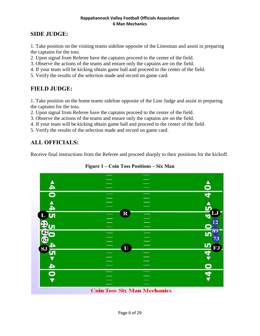## **SIDE JUDGE:**

1. Take position on the visiting teams sideline opposite of the Linesman and assist in preparing the captains for the toss.

2. Upon signal from Referee have the captains proceed to the center of the field.

- 3. Observe the actions of the teams and ensure only the captains are on the field.
- 4. If your team will be kicking obtain game ball and proceed to the center of the field.
- 5. Verify the results of the selection made and record on game card.

## **FIELD JUDGE:**

1. Take position on the home teams sideline opposite of the Line Judge and assist in preparing the captains for the toss.

2. Upon signal from Referee have the captains proceed to the center of the field.

3. Observe the actions of the teams and ensure only the captains are on the field.

- 4. If your team will be kicking obtain game ball and proceed to the center of the field.
- 5. Verify the results of the selection made and record on game card.

## **ALL OFFICIALS:**

Receive final instructions from the Referee and proceed sharply to their positions for the kickoff.



**Figure 1 – Coin Toss Positions – Six Man**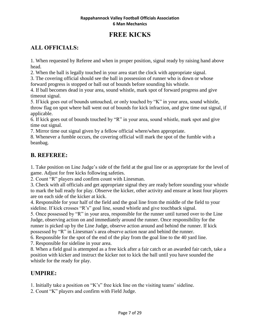# **FREE KICKS**

## **ALL OFFICIALS:**

1. When requested by Referee and when in proper position, signal ready by raising hand above head.

2. When the ball is legally touched in your area start the clock with appropriate signal.

3. The covering official should see the ball in possession of runner who is down or whose forward progress is stopped or ball out of bounds before sounding his whistle.

4. If ball becomes dead in your area, sound whistle, mark spot of forward progress and give timeout signal.

5. If kick goes out of bounds untouched, or only touched by "K" in your area, sound whistle, throw flag on spot where ball went out of bounds for kick infraction, and give time out signal, if applicable.

6. If kick goes out of bounds touched by "R" in your area, sound whistle, mark spot and give time out signal.

7. Mirror time out signal given by a fellow official where/when appropriate.

8. Whenever a fumble occurs, the covering official will mark the spot of the fumble with a beanbag.

#### **B. REFEREE:**

1. Take position on Line Judge's side of the field at the goal line or as appropriate for the level of game. Adjust for free kicks following safeties.

2. Count "R" players and confirm count with Linesman.

3. Check with all officials and get appropriate signal they are ready before sounding your whistle to mark the ball ready for play. Observe the kicker, other activity and ensure at least four players are on each side of the kicker at kick.

4. Responsible for your half of the field and the goal line from the middle of the field to your sideline. If kick crosses "R's" goal line, sound whistle and give touchback signal.

5. Once possessed by "R" in your area, responsible for the runner until turned over to the Line Judge, observing action on and immediately around the runner. Once responsibility for the runner is picked up by the Line Judge, observe action around and behind the runner. If kick possessed by "R" in Linesman's area observe action near and behind the runner.

6. Responsible for the spot of the end of the play from the goal line to the 40 yard line.

7. Responsible for sideline in your area.

8. When a field goal is attempted as a free kick after a fair catch or an awarded fair catch, take a position with kicker and instruct the kicker not to kick the ball until you have sounded the whistle for the ready for play.

#### **UMPIRE:**

1. Initially take a position on "K's" free kick line on the visiting teams' sideline.

2. Count "K" players and confirm with Field Judge.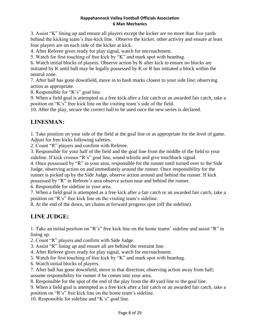3. Assist "K" lining up and ensure all players except the kicker are no more than five yards behind the kicking team's free-kick line. Observe the kicker, other activity and ensure at least four players are on each side of the kicker at kick.

4. After Referee gives ready for play signal, watch for encroachment.

5. Watch for first touching of free kick by "K" and mark spot with beanbag.

6. Watch initial blocks of players. Observe action by K after kick to ensure no blocks are initiated by K until ball may be legally possessed by K or R has initiated a block within the neutral zone.

7. After ball has gone downfield, move in to hash marks closest to your side line; observing action as appropriate.

8. Responsible for "K's" goal line.

9. When a field goal is attempted as a free kick after a fair catch or an awarded fair catch, take a position on "K's" free kick line on the visiting team's side of the field.

10. After the play, secure the correct ball to be used once the new series is declared.

## **LINESMAN:**

1. Take position on your side of the field at the goal line or as appropriate for the level of game. Adjust for free kicks following safeties.

2. Count "R" players and confirm with Referee.

3. Responsible for your half of the field and the goal line from the middle of the field to your sideline. If kick crosses "R's" goal line, sound whistle and give touchback signal.

4. Once possessed by "R" in your area, responsible for the runner until turned over to the Side Judge, observing action on and immediately around the runner. Once responsibility for the runner is picked up by the Side Judge, observe action around and behind the runner. If kick possessed by "R" in Referee's area observe action near and behind the runner.

6. Responsible for sideline in your area.

7. When a field goal is attempted as a free kick after a fair catch or an awarded fair catch, take a position on "R's" free kick line on the visiting team's sideline.

8. At the end of the down, set chains at forward progress spot (off the sideline).

## **LINE JUDGE:**

1. Take an initial position on "R's" free kick line on the home teams' sideline and assist "R" in lining up.

2. Count "R" players and confirm with Side Judge.

3. Assist "R" lining up and ensure all are behind the restraint line.

4. After Referee gives ready for play signal, watch for encroachment.

5. Watch for first touching of free kick by "K" and mark spot with beanbag.

6. Watch initial blocks of players.

7. After ball has gone downfield, move in that direction; observing action away from ball; assume responsibility for runner if he comes into your area.

8. Responsible for the spot of the end of the play from the 40 yard line to the goal line.

9. When a field goal is attempted as a free kick after a fair catch or an awarded fair catch, take a position on "R's" free kick line on the home team's sideline.

10. Responsible for sideline and "K's" goal line.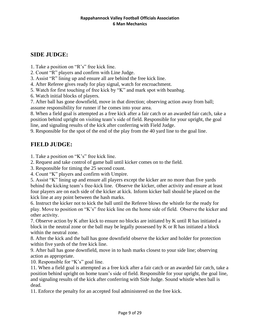#### **SIDE JUDGE:**

1. Take a position on "R's" free kick line.

2. Count "R" players and confirm with Line Judge.

3. Assist "R" lining up and ensure all are behind the free kick line.

4. After Referee gives ready for play signal, watch for encroachment.

5. Watch for first touching of free kick by "K" and mark spot with beanbag.

6. Watch initial blocks of players.

7. After ball has gone downfield, move in that direction; observing action away from ball; assume responsibility for runner if he comes into your area.

8. When a field goal is attempted as a free kick after a fair catch or an awarded fair catch, take a position behind upright on visiting team's side of field. Responsible for your upright, the goal line, and signaling results of the kick after conferring with Field Judge.

9. Responsible for the spot of the end of the play from the 40 yard line to the goal line.

## **FIELD JUDGE:**

1. Take a position on "K's" free kick line.

2. Request and take control of game ball until kicker comes on to the field.

3. Responsible for timing the 25 second count.

4. Count "K" players and confirm with Umpire.

5. Assist "K" lining up and ensure all players except the kicker are no more than five yards behind the kicking team's free-kick line. Observe the kicker, other activity and ensure at least four players are on each side of the kicker at kick. Inform kicker ball should be placed on the kick line at any point between the hash marks.

6. Instruct the kicker not to kick the ball until the Referee blows the whistle for the ready for play. Move to position on "K's" free kick line on the home side of field. Observe the kicker and other activity.

7. Observe action by K after kick to ensure no blocks are initiated by K until R has initiated a block in the neutral zone or the ball may be legally possessed by K or R has initiated a block within the neutral zone.

8. After the kick and the ball has gone downfield observe the kicker and holder for protection within five yards of the free kick line.

9. After ball has gone downfield, move in to hash marks closest to your side line; observing action as appropriate.

10. Responsible for "K's" goal line.

11. When a field goal is attempted as a free kick after a fair catch or an awarded fair catch, take a position behind upright on home team's side of field. Responsible for your upright, the goal line, and signaling results of the kick after conferring with Side Judge. Sound whistle when ball is dead.

11. Enforce the penalty for an accepted foul administered on the free kick.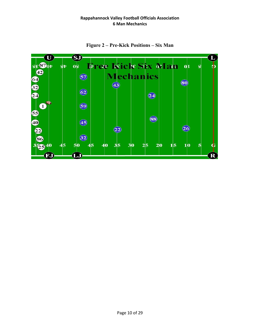

**Figure 2 – Pre-Kick Positions – Six Man**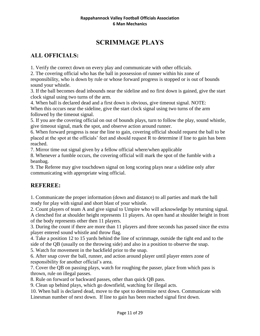# **SCRIMMAGE PLAYS**

## **ALL OFFICIALS:**

1. Verify the correct down on every play and communicate with other officials.

2. The covering official who has the ball in possession of runner within his zone of responsibility, who is down by rule or whose forward progress is stopped or is out of bounds sound your whistle.

3. If the ball becomes dead inbounds near the sideline and no first down is gained, give the start clock signal using two turns of the arm.

4. When ball is declared dead and a first down is obvious, give timeout signal. NOTE: When this occurs near the sideline, give the start clock signal using two turns of the arm followed by the timeout signal.

5. If you are the covering official on out of bounds plays, turn to follow the play, sound whistle, give timeout signal, mark the spot, and observe action around runner.

6. When forward progress is near the line to gain, covering official should request the ball to be placed at the spot at the officials' feet and should request R to determine if line to gain has been reached.

7. Mirror time out signal given by a fellow official where/when applicable

8. Whenever a fumble occurs, the covering official will mark the spot of the fumble with a beanbag.

9. The Referee may give touchdown signal on long scoring plays near a sideline only after communicating with appropriate wing official.

## **REFEREE:**

1. Communicate the proper information (down and distance) to all parties and mark the ball ready for play with signal and short blast of your whistle.

2. Count players of team A and give signal to Umpire who will acknowledge by returning signal. A clenched fist at shoulder height represents 11 players. An open hand at shoulder height in front of the body represents other then 11 players.

3. During the count if there are more than 11 players and three seconds has passed since the extra player entered sound whistle and throw flag.

4. Take a position 12 to 15 yards behind the line of scrimmage, outside the tight end and to the side of the QB (usually on the throwing side) and also in a position to observe the snap.

5. Watch for movement in the backfield prior to the snap.

6. After snap cover the ball, runner, and action around player until player enters zone of responsibility for another official's area.

7. Cover the QB on passing plays, watch for roughing the passer, place from which pass is thrown, rule on illegal passes.

8. Rule on forward or backward passes, other than quick QB pass.

9. Clean up behind plays, which go downfield, watching for illegal acts.

10. When ball is declared dead, move to the spot to determine next down. Communicate with Linesman number of next down. If line to gain has been reached signal first down.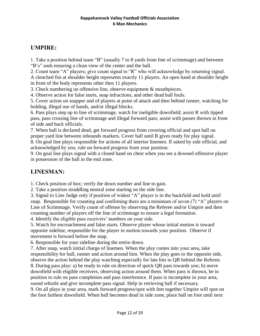## **UMPIRE:**

1. Take a position behind team "B" (usually 7 to 8 yards from line of scrimmage) and between "B's" ends ensuring a clean view of the center and the ball.

2. Count team "A" players; give count signal to "R" who will acknowledge by returning signal. A clenched fist at shoulder height represents exactly 11 players. An open hand at shoulder height in front of the body represents other then 11 players.

3. Check numbering on offensive line, observe equipment & mouthpieces.

4. Observe action for false starts, snap infractions, and other dead ball fouls.

5. Cover action on snapper and of players at point of attack and then behind runner, watching for holding, illegal use of hands, and/or illegal blocks.

6. Pass plays step up to line of scrimmage, watch for ineligible downfield; assist R with tipped pass, pass crossing line of scrimmage and illegal forward pass; assist with passes thrown in front of side and back officials.

7. When ball is declared dead, get forward progress from covering official and spot ball on proper yard line between inbounds markers. Cover ball until R gives ready for play signal.

8. On goal line plays responsible for actions of all interior linemen. If asked by side official, and acknowledged by you, rule on forward progress from your position.

9. On goal line plays signal with a closed hand on chest when you see a downed offensive player in possession of the ball in the end zone.

## **LINESMAN:**

1. Check position of box; verify the down number and line to gain.

2. Take a position straddling neutral zone starting on the side line.

3. Signal to Line Judge only if position of widest "A" player is in the backfield and hold until snap. Responsible for counting and confirming there are a minimum of seven (7) "A" players on Line of Scrimmage. Verify count of offense by observing the Referee and/or Umpire and then counting number of players off the line of scrimmage to ensure a legal formation.

4. Identify the eligible pass receivers' numbers on your side.

5. Watch for encroachment and false starts. Observe player whose initial motion is toward opposite sideline, responsible for the player in motion towards your position. Observe if movement is forward before the snap.

6. Responsible for your sideline during the entire down.

7. After snap, watch initial charge of linemen. When the play comes into your area, take responsibility for ball, runner and action around him. When the play goes to the opposite side, observe the action behind the play watching especially for late hits to QB behind the Referee. 8. During pass play: a) be ready to rule on direction of quick QB pass towards you; b) move downfield with eligible receivers, observing action around them. When pass is thrown, be in position to rule on pass completion and pass interference. If pass is incomplete in your area, sound whistle and give incomplete pass signal. Help in retrieving ball if necessary.

9. On all plays in your area, mark forward progress/spot with feet together Umpire will spot on the foot farthest downfield. When ball becomes dead in side zone, place ball on foot until next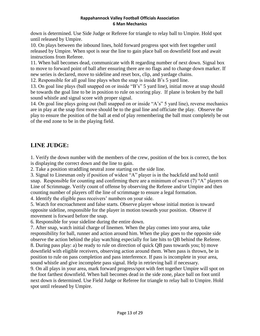down is determined. Use Side Judge or Referee for triangle to relay ball to Umpire. Hold spot until released by Umpire.

10. On plays between the inbound lines, hold forward progress spot with feet together until released by Umpire. When spot is near the line to gain place ball on downfield foot and await instructions from Referee.

11. When ball becomes dead, communicate with R regarding number of next down. Signal box to move to forward point of ball after ensuring there are no flags and to change down marker. If new series is declared, move to sideline and reset box, clip, and yardage chains.

12. Responsible for all goal line plays when the snap is inside B's 5 yard line.

13. On goal line plays (ball snapped on or inside "B's" 5 yard line), initial move at snap should be towards the goal line to be in position to rule on scoring play. If plane is broken by the ball sound whistle and signal score with proper signal.

14. On goal line plays going out (ball snapped on or inside "A's" 5 yard line), reverse mechanics are in play at the snap first move should be to the goal line and officiate the play. Observe the play to ensure the position of the ball at end of play remembering the ball must completely be out of the end zone to be in the playing field.

## **LINE JUDGE:**

1. Verify the down number with the members of the crew, position of the box is correct, the box is displaying the correct down and the line to gain.

2. Take a position straddling neutral zone starting on the side line.

3. Signal to Linesman only if position of widest "A" player is in the backfield and hold until snap. Responsible for counting and confirming there are a minimum of seven (7) "A" players on Line of Scrimmage. Verify count of offense by observing the Referee and/or Umpire and then counting number of players off the line of scrimmage to ensure a legal formation.

4. Identify the eligible pass receivers' numbers on your side.

5. Watch for encroachment and false starts. Observe player whose initial motion is toward opposite sideline, responsible for the player in motion towards your position. Observe if movement is forward before the snap.

6. Responsible for your sideline during the entire down.

7. After snap, watch initial charge of linemen. When the play comes into your area, take responsibility for ball, runner and action around him. When the play goes to the opposite side observe the action behind the play watching especially for late hits to QB behind the Referee. 8. During pass play: a) be ready to rule on direction of quick QB pass towards you; b) move downfield with eligible receivers, observing action around them. When pass is thrown, be in position to rule on pass completion and pass interference. If pass is incomplete in your area, sound whistle and give incomplete pass signal. Help in retrieving ball if necessary.

9. On all plays in your area, mark forward progress/spot with feet together Umpire will spot on the foot farthest downfield. When ball becomes dead in the side zone, place ball on foot until next down is determined. Use Field Judge or Referee for triangle to relay ball to Umpire. Hold spot until released by Umpire.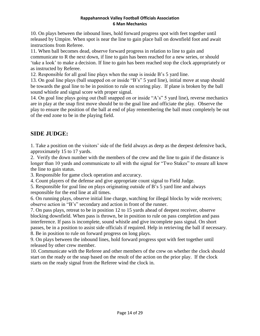10. On plays between the inbound lines, hold forward progress spot with feet together until released by Umpire. When spot is near the line to gain place ball on downfield foot and await instructions from Referee.

11. When ball becomes dead, observe forward progress in relation to line to gain and communicate to R the next down, if line to gain has been reached for a new series, or should 'take a look' to make a decision. If line to gain has been reached stop the clock appropriately or as instructed by Referee.

12. Responsible for all goal line plays when the snap is inside B's 5 yard line.

13. On goal line plays (ball snapped on or inside "B's" 5 yard line), initial move at snap should be towards the goal line to be in position to rule on scoring play. If plane is broken by the ball sound whistle and signal score with proper signal.

14. On goal line plays going out (ball snapped on or inside "A's" 5 yard line), reverse mechanics are in play at the snap first move should be to the goal line and officiate the play. Observe the play to ensure the position of the ball at end of play remembering the ball must completely be out of the end zone to be in the playing field.

## **SIDE JUDGE:**

1. Take a position on the visitors' side of the field always as deep as the deepest defensive back, approximately 15 to 17 yards.

2. Verify the down number with the members of the crew and the line to gain if the distance is longer than 10 yards and communicate to all with the signal for "Two Stakes" to ensure all know the line to gain status.

3. Responsible for game clock operation and accuracy.

4. Count players of the defense and give appropriate count signal to Field Judge.

5. Responsible for goal line on plays originating outside of B's 5 yard line and always responsible for the end line at all times.

6. On running plays, observe initial line charge, watching for illegal blocks by wide receivers; observe action in "B's" secondary and action in front of the runner.

7. On pass plays, retreat to be in position 12 to 15 yards ahead of deepest receiver, observe blocking downfield. When pass is thrown, be in position to rule on pass completion and pass interference. If pass is incomplete, sound whistle and give incomplete pass signal. On short passes, be in a position to assist side officials if required. Help in retrieving the ball if necessary. 8. Be in position to rule on forward progress on long plays.

9. On plays between the inbound lines, hold forward progress spot with feet together until released by other crew member.

10. Communicate with the Referee and other members of the crew on whether the clock should start on the ready or the snap based on the result of the action on the prior play. If the clock starts on the ready signal from the Referee wind the clock in.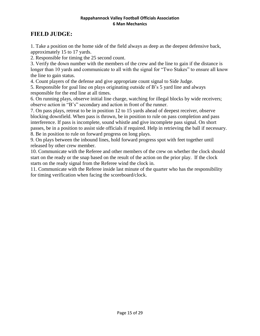## **FIELD JUDGE:**

1. Take a position on the home side of the field always as deep as the deepest defensive back, approximately 15 to 17 yards.

2. Responsible for timing the 25 second count.

3. Verify the down number with the members of the crew and the line to gain if the distance is longer than 10 yards and communicate to all with the signal for "Two Stakes" to ensure all know the line to gain status.

4. Count players of the defense and give appropriate count signal to Side Judge.

5. Responsible for goal line on plays originating outside of B's 5 yard line and always responsible for the end line at all times.

6. On running plays, observe initial line charge, watching for illegal blocks by wide receivers; observe action in "B's" secondary and action in front of the runner.

7. On pass plays, retreat to be in position 12 to 15 yards ahead of deepest receiver, observe blocking downfield. When pass is thrown, be in position to rule on pass completion and pass interference. If pass is incomplete, sound whistle and give incomplete pass signal. On short passes, be in a position to assist side officials if required. Help in retrieving the ball if necessary. 8. Be in position to rule on forward progress on long plays.

9. On plays between the inbound lines, hold forward progress spot with feet together until released by other crew member.

10. Communicate with the Referee and other members of the crew on whether the clock should start on the ready or the snap based on the result of the action on the prior play. If the clock starts on the ready signal from the Referee wind the clock in.

11. Communicate with the Referee inside last minute of the quarter who has the responsibility for timing verification when facing the scoreboard/clock.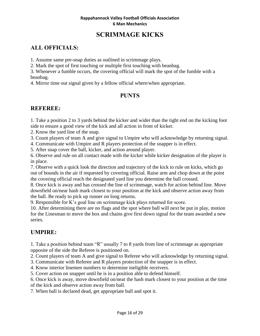# **SCRIMMAGE KICKS**

## **ALL OFFICIALS:**

1. Assume same pre-snap duties as outlined in scrimmage plays.

2. Mark the spot of first touching or multiple first touching with beanbag.

3. Whenever a fumble occurs, the covering official will mark the spot of the fumble with a beanbag.

4. Mirror time out signal given by a fellow official where/when appropriate.

## **PUNTS**

## **REFEREE:**

1. Take a position 2 to 3 yards behind the kicker and wider than the tight end on the kicking foot side to ensure a good view of the kick and all action in front of kicker.

2. Know the yard line of the snap.

3. Count players of team A and give signal to Umpire who will acknowledge by returning signal.

4. Communicate with Umpire and R players protection of the snapper is in effect.

5. After snap cover the ball, kicker, and action around player.

6. Observe and rule on all contact made with the kicker while kicker designation of the player is in place.

7. Observe with a quick look the direction and trajectory of the kick to rule on kicks, which go out of bounds in the air if requested by covering official. Raise arm and chop down at the point the covering official reach the designated yard line you determine the ball crossed.

8. Once kick is away and has crossed the line of scrimmage, watch for action behind line. Move downfield on/near hash mark closest to your position at the kick and observe action away from the ball. Be ready to pick up runner on long returns.

9. Responsible for K's goal line on scrimmage kick plays returned for score.

10. After determining there are no flags and the spot where ball will next be put in play, motion for the Linesman to move the box and chains give first down signal for the team awarded a new series.

## **UMPIRE:**

1. Take a position behind team "R" usually 7 to 8 yards from line of scrimmage as appropriate opposite of the side the Referee is positioned on.

2. Count players of team A and give signal to Referee who will acknowledge by returning signal.

3. Communicate with Referee and R players protection of the snapper is in effect.

4. Know interior linemen numbers to determine ineligible receivers.

5. Cover action on snapper until he is in a position able to defend himself.

6. Once kick is away, move downfield on/near the hash mark closest to your position at the time

of the kick and observe action away from ball.

7. When ball is declared dead, get appropriate ball and spot it.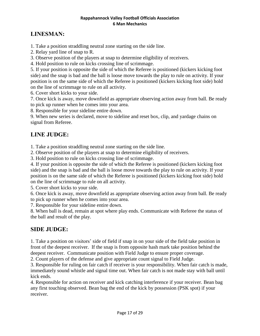## **LINESMAN:**

1. Take a position straddling neutral zone starting on the side line.

2. Relay yard line of snap to R.

3. Observe position of the players at snap to determine eligibility of receivers.

4. Hold position to rule on kicks crossing line of scrimmage.

5. If your position is opposite the side of which the Referee is positioned (kickers kicking foot side) and the snap is bad and the ball is loose move towards the play to rule on activity. If your position is on the same side of which the Referee is positioned (kickers kicking foot side) hold on the line of scrimmage to rule on all activity.

6. Cover short kicks to your side.

7. Once kick is away, move downfield as appropriate observing action away from ball. Be ready to pick up runner when he comes into your area.

8. Responsible for your sideline entire down.

9. When new series is declared, move to sideline and reset box, clip, and yardage chains on signal from Referee.

## **LINE JUDGE:**

1. Take a position straddling neutral zone starting on the side line.

2. Observe position of the players at snap to determine eligibility of receivers.

3. Hold position to rule on kicks crossing line of scrimmage.

4. If your position is opposite the side of which the Referee is positioned (kickers kicking foot side) and the snap is bad and the ball is loose move towards the play to rule on activity. If your position is on the same side of which the Referee is positioned (kickers kicking foot side) hold on the line of scrimmage to rule on all activity.

5. Cover short kicks to your side.

6. Once kick is away, move downfield as appropriate observing action away from ball. Be ready to pick up runner when he comes into your area.

7. Responsible for your sideline entire down.

8. When ball is dead, remain at spot where play ends. Communicate with Referee the status of the ball and result of the play.

## **SIDE JUDGE:**

1. Take a position on visitors' side of field if snap in on your side of the field take position in front of the deepest receiver. If the snap is from opposite hash mark take position behind the deepest receiver. Communicate position with Field Judge to ensure proper coverage.

2. Count players of the defense and give appropriate count signal to Field Judge.

3. Responsible for ruling on fair catch if receiver is your responsibility. When fair catch is made, immediately sound whistle and signal time out. When fair catch is not made stay with ball until kick ends.

4. Responsible for action on receiver and kick catching interference if your receiver. Bean bag any first touching observed. Bean bag the end of the kick by possession (PSK spot) if your receiver.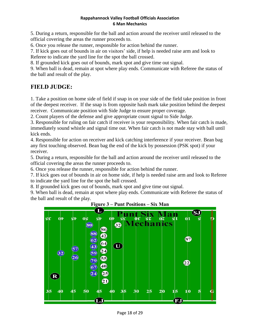5. During a return, responsible for the ball and action around the receiver until released to the official covering the areas the runner proceeds to.

6. Once you release the runner, responsible for action behind the runner.

7. If kick goes out of bounds in air on visitors' side, if help is needed raise arm and look to Referee to indicate the yard line for the spot the ball crossed.

8. If grounded kick goes out of bounds, mark spot and give time out signal.

9. When ball is dead, remain at spot where play ends. Communicate with Referee the status of the ball and result of the play.

## **FIELD JUDGE:**

1. Take a position on home side of field if snap in on your side of the field take position in front of the deepest receiver. If the snap is from opposite hash mark take position behind the deepest receiver. Communicate position with Side Judge to ensure proper coverage.

2. Count players of the defense and give appropriate count signal to Side Judge.

3. Responsible for ruling on fair catch if receiver is your responsibility. When fair catch is made, immediately sound whistle and signal time out. When fair catch is not made stay with ball until kick ends.

4. Responsible for action on receiver and kick catching interference if your receiver. Bean bag any first touching observed. Bean bag the end of the kick by possession (PSK spot) if your receiver.

5. During a return, responsible for the ball and action around the receiver until released to the official covering the areas the runner proceeds to.

6. Once you release the runner, responsible for action behind the runner.

7. If kick goes out of bounds in air on home side, if help is needed raise arm and look to Referee to indicate the yard line for the spot the ball crossed.

8. If grounded kick goes out of bounds, mark spot and give time out signal.

9. When ball is dead, remain at spot where play ends. Communicate with Referee the status of the ball and result of the play.



#### **Figure 3 – Punt Positions – Six Man**

Page 18 of 29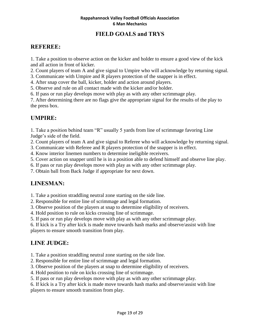## **FIELD GOALS and TRYS**

#### **REFEREE:**

1. Take a position to observe action on the kicker and holder to ensure a good view of the kick and all action in front of kicker.

2. Count players of team A and give signal to Umpire who will acknowledge by returning signal.

3. Communicate with Umpire and R players protection of the snapper is in effect.

- 4. After snap cover the ball, kicker, holder and action around players.
- 5. Observe and rule on all contact made with the kicker and/or holder.

6. If pass or run play develops move with play as with any other scrimmage play.

7. After determining there are no flags give the appropriate signal for the results of the play to the press box.

#### **UMPIRE:**

1. Take a position behind team "R" usually 5 yards from line of scrimmage favoring Line Judge's side of the field.

2. Count players of team A and give signal to Referee who will acknowledge by returning signal.

3. Communicate with Referee and R players protection of the snapper is in effect.

4. Know interior linemen numbers to determine ineligible receivers.

5. Cover action on snapper until he is in a position able to defend himself and observe line play.

6. If pass or run play develops move with play as with any other scrimmage play.

7. Obtain ball from Back Judge if appropriate for next down.

#### **LINESMAN:**

1. Take a position straddling neutral zone starting on the side line.

2. Responsible for entire line of scrimmage and legal formation.

3. Observe position of the players at snap to determine eligibility of receivers.

4. Hold position to rule on kicks crossing line of scrimmage.

5. If pass or run play develops move with play as with any other scrimmage play.

6. If kick is a Try after kick is made move towards hash marks and observe/assist with line

players to ensure smooth transition from play.

#### **LINE JUDGE:**

1. Take a position straddling neutral zone starting on the side line.

2. Responsible for entire line of scrimmage and legal formation.

3. Observe position of the players at snap to determine eligibility of receivers.

4. Hold position to rule on kicks crossing line of scrimmage.

5. If pass or run play develops move with play as with any other scrimmage play.

6. If kick is a Try after kick is made move towards hash marks and observe/assist with line players to ensure smooth transition from play.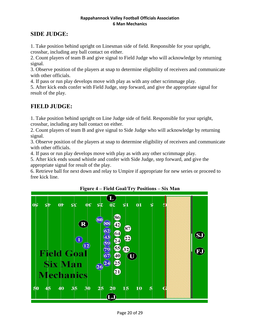#### **SIDE JUDGE:**

1. Take position behind upright on Linesman side of field. Responsible for your upright, crossbar, including any ball contact on either.

2. Count players of team B and give signal to Field Judge who will acknowledge by returning signal.

3. Observe position of the players at snap to determine eligibility of receivers and communicate with other officials.

4. If pass or run play develops move with play as with any other scrimmage play.

5. After kick ends confer with Field Judge, step forward, and give the appropriate signal for result of the play.

#### **FIELD JUDGE:**

1. Take position behind upright on Line Judge side of field. Responsible for your upright, crossbar, including any ball contact on either.

2. Count players of team B and give signal to Side Judge who will acknowledge by returning signal.

3. Observe position of the players at snap to determine eligibility of receivers and communicate with other officials.

4. If pass or run play develops move with play as with any other scrimmage play.

5. After kick ends sound whistle and confer with Side Judge, step forward, and give the appropriate signal for result of the play.

6. Retrieve ball for next down and relay to Umpire if appropriate for new series or proceed to free kick line.



**Figure 4 – Field Goal/Try Positions – Six Man**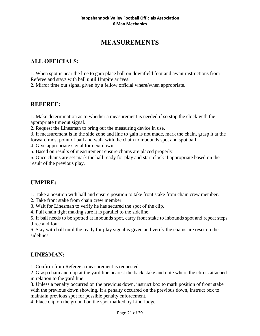# **MEASUREMENTS**

## **ALL OFFICIALS:**

1. When spot is near the line to gain place ball on downfield foot and await instructions from Referee and stays with ball until Umpire arrives.

2. Mirror time out signal given by a fellow official where/when appropriate.

#### **REFEREE:**

1. Make determination as to whether a measurement is needed if so stop the clock with the appropriate timeout signal.

2. Request the Linesman to bring out the measuring device in use.

3. If measurement is in the side zone and line to gain is not made, mark the chain, grasp it at the forward most point of ball and walk with the chain to inbounds spot and spot ball.

4. Give appropriate signal for next down.

5. Based on results of measurement ensure chains are placed properly.

6. Once chains are set mark the ball ready for play and start clock if appropriate based on the result of the previous play.

#### **UMPIRE:**

1. Take a position with ball and ensure position to take front stake from chain crew member.

2. Take front stake from chain crew member.

3. Wait for Linesman to verify he has secured the spot of the clip.

4. Pull chain tight making sure it is parallel to the sideline.

5. If ball needs to be spotted at inbounds spot, carry front stake to inbounds spot and repeat steps three and four.

6. Stay with ball until the ready for play signal is given and verify the chains are reset on the sidelines.

## **LINESMAN:**

1. Confirm from Referee a measurement is requested.

2. Grasp chain and clip at the yard line nearest the back stake and note where the clip is attached in relation to the yard line.

3. Unless a penalty occurred on the previous down, instruct box to mark position of front stake with the previous down showing. If a penalty occurred on the previous down, instruct box to maintain previous spot for possible penalty enforcement.

4. Place clip on the ground on the spot marked by Line Judge.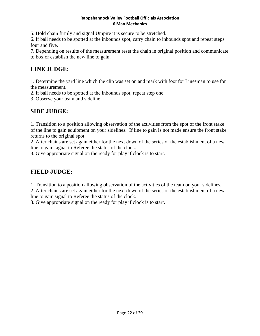5. Hold chain firmly and signal Umpire it is secure to be stretched.

6. If ball needs to be spotted at the inbounds spot, carry chain to inbounds spot and repeat steps four and five.

7. Depending on results of the measurement reset the chain in original position and communicate to box or establish the new line to gain.

## **LINE JUDGE:**

1. Determine the yard line which the clip was set on and mark with foot for Linesman to use for the measurement.

2. If ball needs to be spotted at the inbounds spot, repeat step one.

3. Observe your team and sideline.

## **SIDE JUDGE:**

1. Transition to a position allowing observation of the activities from the spot of the front stake of the line to gain equipment on your sidelines. If line to gain is not made ensure the front stake returns to the original spot.

2. After chains are set again either for the next down of the series or the establishment of a new line to gain signal to Referee the status of the clock.

3. Give appropriate signal on the ready for play if clock is to start.

## **FIELD JUDGE:**

1. Transition to a position allowing observation of the activities of the team on your sidelines.

2. After chains are set again either for the next down of the series or the establishment of a new line to gain signal to Referee the status of the clock.

3. Give appropriate signal on the ready for play if clock is to start.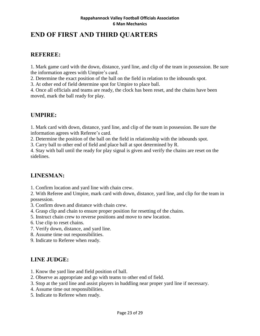# **END OF FIRST AND THIRD QUARTERS**

#### **REFEREE:**

1. Mark game card with the down, distance, yard line, and clip of the team in possession. Be sure the information agrees with Umpire's card.

2. Determine the exact position of the ball on the field in relation to the inbounds spot.

3. At other end of field determine spot for Umpire to place ball.

4. Once all officials and teams are ready, the clock has been reset, and the chains have been moved, mark the ball ready for play.

#### **UMPIRE:**

1. Mark card with down, distance, yard line, and clip of the team in possession. Be sure the information agrees with Referee's card.

2. Determine the position of the ball on the field in relationship with the inbounds spot.

3. Carry ball to other end of field and place ball at spot determined by R.

4. Stay with ball until the ready for play signal is given and verify the chains are reset on the sidelines.

## **LINESMAN:**

1. Confirm location and yard line with chain crew.

2. With Referee and Umpire, mark card with down, distance, yard line, and clip for the team in possession.

- 3. Confirm down and distance with chain crew.
- 4. Grasp clip and chain to ensure proper position for resetting of the chains.
- 5. Instruct chain crew to reverse positions and move to new location.
- 6. Use clip to reset chains.
- 7. Verify down, distance, and yard line.
- 8. Assume time out responsibilities.
- 9. Indicate to Referee when ready.

## **LINE JUDGE:**

- 1. Know the yard line and field position of ball.
- 2. Observe as appropriate and go with teams to other end of field.
- 3. Stop at the yard line and assist players in huddling near proper yard line if necessary.
- 4. Assume time out responsibilities.
- 5. Indicate to Referee when ready.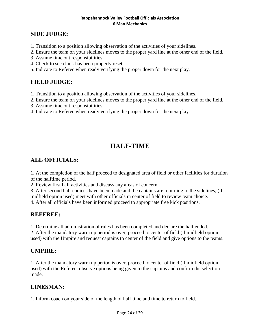#### **SIDE JUDGE:**

- 1. Transition to a position allowing observation of the activities of your sidelines.
- 2. Ensure the team on your sidelines moves to the proper yard line at the other end of the field.
- 3. Assume time out responsibilities.
- 4. Check to see clock has been properly reset.
- 5. Indicate to Referee when ready verifying the proper down for the next play.

#### **FIELD JUDGE:**

- 1. Transition to a position allowing observation of the activities of your sidelines.
- 2. Ensure the team on your sidelines moves to the proper yard line at the other end of the field.
- 3. Assume time out responsibilities.
- 4. Indicate to Referee when ready verifying the proper down for the next play.

# **HALF-TIME**

#### **ALL OFFICIALS:**

1. At the completion of the half proceed to designated area of field or other facilities for duration of the halftime period.

2. Review first half activities and discuss any areas of concern.

3. After second half choices have been made and the captains are returning to the sidelines, (if midfield option used) meet with other officials in center of field to review team choice. 4. After all officials have been informed proceed to appropriate free kick positions.

#### **REFEREE:**

1. Determine all administration of rules has been completed and declare the half ended.

2. After the mandatory warm up period is over, proceed to center of field (if midfield option used) with the Umpire and request captains to center of the field and give options to the teams.

#### **UMPIRE:**

1. After the mandatory warm up period is over, proceed to center of field (if midfield option used) with the Referee, observe options being given to the captains and confirm the selection made.

#### **LINESMAN:**

1. Inform coach on your side of the length of half time and time to return to field.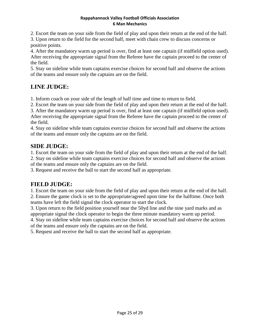2. Escort the team on your side from the field of play and upon their return at the end of the half.

3. Upon return to the field for the second half, meet with chain crew to discuss concerns or positive points.

4. After the mandatory warm up period is over, find at least one captain (if midfield option used). After receiving the appropriate signal from the Referee have the captain proceed to the center of the field.

5. Stay on sideline while team captains exercise choices for second half and observe the actions of the teams and ensure only the captains are on the field.

# **LINE JUDGE:**

1. Inform coach on your side of the length of half time and time to return to field.

2. Escort the team on your side from the field of play and upon their return at the end of the half.

3. After the mandatory warm up period is over, find at least one captain (if midfield option used). After receiving the appropriate signal from the Referee have the captain proceed to the center of the field.

4. Stay on sideline while team captains exercise choices for second half and observe the actions of the teams and ensure only the captains are on the field.

## **SIDE JUDGE:**

1. Escort the team on your side from the field of play and upon their return at the end of the half.

2. Stay on sideline while team captains exercise choices for second half and observe the actions of the teams and ensure only the captains are on the field.

3. Request and receive the ball to start the second half as appropriate.

## **FIELD JUDGE:**

1. Escort the team on your side from the field of play and upon their return at the end of the half. 2. Ensure the game clock is set to the appropriate/agreed upon time for the halftime. Once both teams have left the field signal the clock operator to start the clock.

3. Upon return to the field position yourself near the 50yd line and the nine yard marks and as appropriate signal the clock operator to begin the three minute mandatory warm up period.

4. Stay on sideline while team captains exercise choices for second half and observe the actions of the teams and ensure only the captains are on the field.

5. Request and receive the ball to start the second half as appropriate.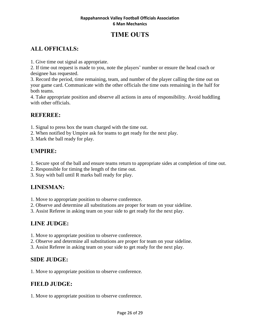# **TIME OUTS**

# **ALL OFFICIALS:**

1. Give time out signal as appropriate.

2. If time out request is made to you, note the players' number or ensure the head coach or designee has requested.

3. Record the period, time remaining, team, and number of the player calling the time out on your game card. Communicate with the other officials the time outs remaining in the half for both teams.

4. Take appropriate position and observe all actions in area of responsibility. Avoid huddling with other officials.

## **REFEREE:**

1. Signal to press box the team charged with the time out.

- 2. When notified by Umpire ask for teams to get ready for the next play.
- 3. Mark the ball ready for play.

## **UMPIRE:**

- 1. Secure spot of the ball and ensure teams return to appropriate sides at completion of time out.
- 2. Responsible for timing the length of the time out.
- 3. Stay with ball until R marks ball ready for play.

## **LINESMAN:**

- 1. Move to appropriate position to observe conference.
- 2. Observe and determine all substitutions are proper for team on your sideline.
- 3. Assist Referee in asking team on your side to get ready for the next play.

# **LINE JUDGE:**

- 1. Move to appropriate position to observe conference.
- 2. Observe and determine all substitutions are proper for team on your sideline.
- 3. Assist Referee in asking team on your side to get ready for the next play.

## **SIDE JUDGE:**

1. Move to appropriate position to observe conference.

## **FIELD JUDGE:**

1. Move to appropriate position to observe conference.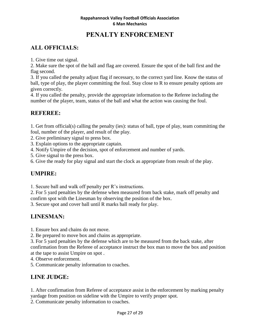# **PENALTY ENFORCEMENT**

## **ALL OFFICIALS:**

1. Give time out signal.

2. Make sure the spot of the ball and flag are covered. Ensure the spot of the ball first and the flag second.

3. If you called the penalty adjust flag if necessary, to the correct yard line. Know the status of ball, type of play, the player committing the foul. Stay close to R to ensure penalty options are given correctly.

4. If you called the penalty, provide the appropriate information to the Referee including the number of the player, team, status of the ball and what the action was causing the foul.

#### **REFEREE:**

1. Get from official(s) calling the penalty (ies): status of ball, type of play, team committing the foul, number of the player, and result of the play.

2. Give preliminary signal to press box.

3. Explain options to the appropriate captain.

4. Notify Umpire of the decision, spot of enforcement and number of yards.

5. Give signal to the press box.

6. Give the ready for play signal and start the clock as appropriate from result of the play.

## **UMPIRE:**

1. Secure ball and walk off penalty per R's instructions.

2. For 5 yard penalties by the defense when measured from back stake, mark off penalty and confirm spot with the Linesman by observing the position of the box.

3. Secure spot and cover ball until R marks ball ready for play.

# **LINESMAN:**

1. Ensure box and chains do not move.

2. Be prepared to move box and chains as appropriate.

3. For 5 yard penalties by the defense which are to be measured from the back stake, after confirmation from the Referee of acceptance instruct the box man to move the box and position at the tape to assist Umpire on spot .

4. Observe enforcement.

5. Communicate penalty information to coaches.

## **LINE JUDGE:**

1. After confirmation from Referee of acceptance assist in the enforcement by marking penalty yardage from position on sideline with the Umpire to verify proper spot.

2. Communicate penalty information to coaches.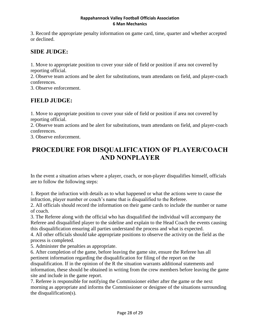3. Record the appropriate penalty information on game card, time, quarter and whether accepted or declined.

## **SIDE JUDGE:**

1. Move to appropriate position to cover your side of field or position if area not covered by reporting official.

2. Observe team actions and be alert for substitutions, team attendants on field, and player-coach conferences.

3. Observe enforcement.

## **FIELD JUDGE:**

1. Move to appropriate position to cover your side of field or position if area not covered by reporting official.

2. Observe team actions and be alert for substitutions, team attendants on field, and player-coach conferences.

3. Observe enforcement.

# **PROCEDURE FOR DISQUALIFICATION OF PLAYER/COACH AND NONPLAYER**

In the event a situation arises where a player, coach, or non-player disqualifies himself, officials are to follow the following steps:

1. Report the infraction with details as to what happened or what the actions were to cause the infraction, player number or coach's name that is disqualified to the Referee.

2. All officials should record the information on their game cards to include the number or name of coach.

3. The Referee along with the official who has disqualified the individual will accompany the Referee and disqualified player to the sideline and explain to the Head Coach the events causing this disqualification ensuring all parties understand the process and what is expected.

4. All other officials should take appropriate positions to observe the activity on the field as the process is completed.

5. Administer the penalties as appropriate.

6. After completion of the game, before leaving the game site, ensure the Referee has all pertinent information regarding the disqualification for filing of the report on the disqualification. If in the opinion of the R the situation warrants additional statements and information, these should be obtained in writing from the crew members before leaving the game site and include in the game report.

7. Referee is responsible for notifying the Commissioner either after the game or the next morning as appropriate and informs the Commissioner or designee of the situations surrounding the disqualification(s).